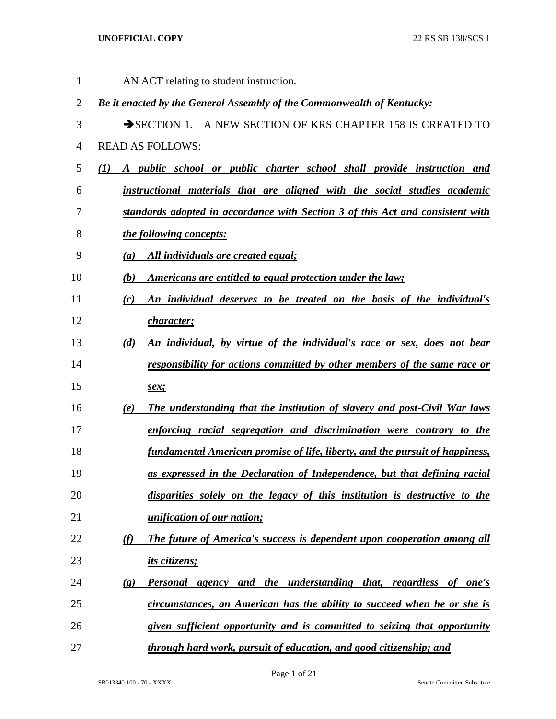| 1              | AN ACT relating to student instruction.                                                        |
|----------------|------------------------------------------------------------------------------------------------|
| $\overline{2}$ | Be it enacted by the General Assembly of the Commonwealth of Kentucky:                         |
| 3              | SECTION 1. A NEW SECTION OF KRS CHAPTER 158 IS CREATED TO                                      |
| $\overline{4}$ | <b>READ AS FOLLOWS:</b>                                                                        |
| 5              | A public school or public charter school shall provide instruction and<br>(1)                  |
| 6              | instructional materials that are aligned with the social studies academic                      |
| 7              | standards adopted in accordance with Section 3 of this Act and consistent with                 |
| 8              | the following concepts:                                                                        |
| 9              | All individuals are created equal;<br>(a)                                                      |
| 10             | Americans are entitled to equal protection under the law;<br>(b)                               |
| 11             | An individual deserves to be treated on the basis of the individual's<br>(c)                   |
| 12             | <u>character;</u>                                                                              |
| 13             | An individual, by virtue of the individual's race or sex, does not bear<br>(d)                 |
| 14             | responsibility for actions committed by other members of the same race or                      |
| 15             | sex;                                                                                           |
| 16             | The understanding that the institution of slavery and post-Civil War laws<br>(e)               |
| 17             | enforcing racial segregation and discrimination were contrary to the                           |
| 18             | fundamental American promise of life, liberty, and the pursuit of happiness,                   |
| 19             | as expressed in the Declaration of Independence, but that defining racial                      |
| 20             | disparities solely on the legacy of this institution is destructive to the                     |
| 21             | <i>unification of our nation;</i>                                                              |
| 22             | The future of America's success is dependent upon cooperation among all<br>(f)                 |
| 23             | its citizens;                                                                                  |
| 24             | Personal agency and the understanding that, regardless of one's<br>$\left( \mathbf{g} \right)$ |
| 25             | circumstances, an American has the ability to succeed when he or she is                        |
| 26             | given sufficient opportunity and is committed to seizing that opportunity                      |
| 27             | through hard work, pursuit of education, and good citizenship; and                             |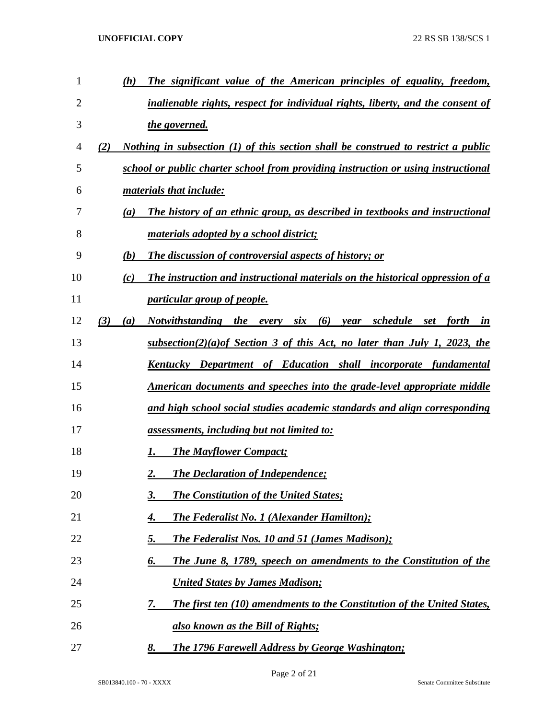| $\mathbf{1}$ | The significant value of the American principles of equality, freedom,<br>(h)                   |
|--------------|-------------------------------------------------------------------------------------------------|
| 2            | inalienable rights, respect for individual rights, liberty, and the consent of                  |
| 3            | <u>the governed.</u>                                                                            |
| 4            | Nothing in subsection (1) of this section shall be construed to restrict a public<br>(2)        |
| 5            | school or public charter school from providing instruction or using instructional               |
| 6            | materials that include:                                                                         |
| 7            | The history of an ethnic group, as described in textbooks and instructional<br>$\left(a\right)$ |
| 8            | <u>materials adopted by a school district;</u>                                                  |
| 9            | <b>The discussion of controversial aspects of history; or</b><br>(b)                            |
| 10           | The instruction and instructional materials on the historical oppression of a<br>(c)            |
| 11           | <i>particular group of people.</i>                                                              |
| 12           | Notwithstanding the every six (6) year schedule set forth in<br>(3)<br>(a)                      |
| 13           | <u>subsection(2)(a) of Section 3 of this Act, no later than July 1, 2023, the</u>               |
| 14           | Kentucky Department of Education shall incorporate fundamental                                  |
| 15           | American documents and speeches into the grade-level appropriate middle                         |
| 16           | and high school social studies academic standards and align corresponding                       |
| 17           | assessments, including but not limited to:                                                      |
| 18           | <b>The Mayflower Compact;</b><br>1.                                                             |
| 19           | <b>The Declaration of Independence;</b><br>2.                                                   |
| 20           | <b>The Constitution of the United States;</b><br><u>3.</u>                                      |
| 21           | <b>The Federalist No. 1 (Alexander Hamilton);</b><br><u>4.</u>                                  |
| 22           | <b>The Federalist Nos. 10 and 51 (James Madison);</b><br><u>5.</u>                              |
| 23           | <b>The June 8, 1789, speech on amendments to the Constitution of the</b><br><u>б.</u>           |
| 24           | <b>United States by James Madison;</b>                                                          |
| 25           | <b>The first ten (10) amendments to the Constitution of the United States,</b><br><u>7.</u>     |
| 26           | also known as the Bill of Rights;                                                               |
| 27           | <b>The 1796 Farewell Address by George Washington;</b><br>8.                                    |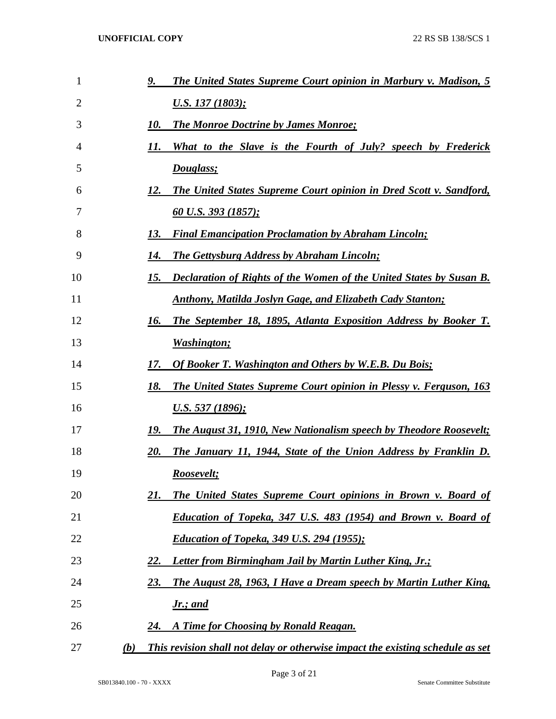| 1  | <b>The United States Supreme Court opinion in Marbury v. Madison, 5</b><br><u>9. </u> |
|----|---------------------------------------------------------------------------------------|
| 2  | U.S. 137 (1803);                                                                      |
| 3  | <b>The Monroe Doctrine by James Monroe;</b><br>10.                                    |
| 4  | What to the Slave is the Fourth of July? speech by Frederick<br>11.                   |
| 5  | Douglass;                                                                             |
| 6  | <b>The United States Supreme Court opinion in Dred Scott v. Sandford,</b><br>12.      |
| 7  | <u>60 U.S. 393 (1857);</u>                                                            |
| 8  | <b>Final Emancipation Proclamation by Abraham Lincoln;</b><br>13.                     |
| 9  | <b>The Gettysburg Address by Abraham Lincoln;</b><br>14.                              |
| 10 | <b>Declaration of Rights of the Women of the United States by Susan B.</b><br>15.     |
| 11 | <b>Anthony, Matilda Joslyn Gage, and Elizabeth Cady Stanton;</b>                      |
| 12 | <b>The September 18, 1895, Atlanta Exposition Address by Booker T.</b><br>16.         |
| 13 | <u>Washington;</u>                                                                    |
| 14 | <b>Of Booker T. Washington and Others by W.E.B. Du Bois;</b><br>17.                   |
| 15 | The United States Supreme Court opinion in Plessy v. Ferguson, 163<br>18.             |
| 16 | <u>U.S. 537 (1896);</u>                                                               |
| 17 | <b>The August 31, 1910, New Nationalism speech by Theodore Roosevelt;</b><br>19.      |
| 18 | The January 11, 1944, State of the Union Address by Franklin D.<br>20.                |
| 19 | Roosevelt;                                                                            |
| 20 | <b>The United States Supreme Court opinions in Brown v. Board of</b><br>21.           |
| 21 | <b>Education of Topeka, 347 U.S. 483 (1954) and Brown v. Board of</b>                 |
| 22 | <b>Education of Topeka, 349 U.S. 294 (1955);</b>                                      |
| 23 | Letter from Birmingham Jail by Martin Luther King, Jr.;<br>22.                        |
| 24 | The August 28, 1963, I Have a Dream speech by Martin Luther King,<br><u>23.</u>       |
| 25 | <b>Jr.</b> ; and                                                                      |
| 26 | A Time for Choosing by Ronald Reagan.<br>24.                                          |
| 27 | This revision shall not delay or otherwise impact the existing schedule as set<br>(b) |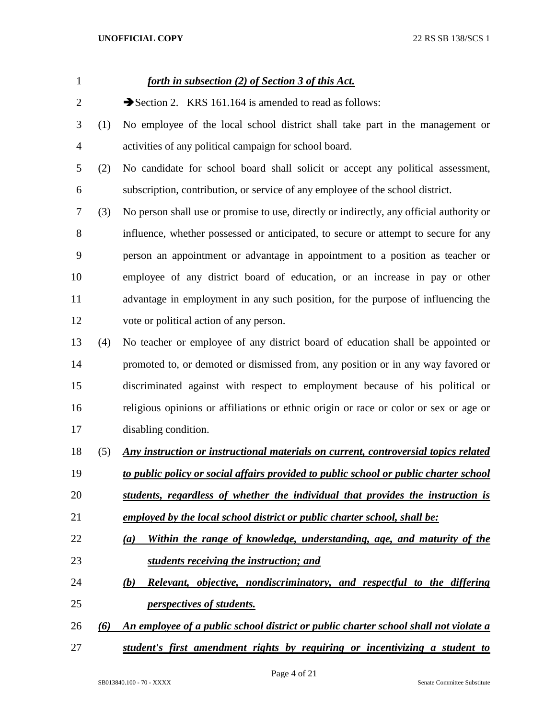| $\mathbf{1}$ |     | <u>forth in subsection (2) of Section 3 of this Act.</u>                                 |
|--------------|-----|------------------------------------------------------------------------------------------|
| 2            |     | Section 2. KRS 161.164 is amended to read as follows:                                    |
| 3            | (1) | No employee of the local school district shall take part in the management or            |
| 4            |     | activities of any political campaign for school board.                                   |
| 5            | (2) | No candidate for school board shall solicit or accept any political assessment,          |
| 6            |     | subscription, contribution, or service of any employee of the school district.           |
| 7            | (3) | No person shall use or promise to use, directly or indirectly, any official authority or |
| 8            |     | influence, whether possessed or anticipated, to secure or attempt to secure for any      |
| 9            |     | person an appointment or advantage in appointment to a position as teacher or            |
| 10           |     | employee of any district board of education, or an increase in pay or other              |
| 11           |     | advantage in employment in any such position, for the purpose of influencing the         |
| 12           |     | vote or political action of any person.                                                  |
| 13           | (4) | No teacher or employee of any district board of education shall be appointed or          |
| 14           |     | promoted to, or demoted or dismissed from, any position or in any way favored or         |
| 15           |     | discriminated against with respect to employment because of his political or             |
| 16           |     | religious opinions or affiliations or ethnic origin or race or color or sex or age or    |
| 17           |     | disabling condition.                                                                     |
| 18           | (5) | Any instruction or instructional materials on current, controversial topics related      |
| 19           |     | to public policy or social affairs provided to public school or public charter school    |
| 20           |     | students, regardless of whether the individual that provides the instruction is          |
| 21           |     | employed by the local school district or public charter school, shall be:                |
| 22           |     | Within the range of knowledge, understanding, age, and maturity of the<br>(a)            |
| 23           |     | students receiving the instruction; and                                                  |
| 24           |     | Relevant, objective, nondiscriminatory, and respectful to the differing<br>(b)           |
| 25           |     | <i>perspectives of students.</i>                                                         |
| 26           | (6) | An employee of a public school district or public charter school shall not violate a     |
|              |     |                                                                                          |

*student's first amendment rights by requiring or incentivizing a student to*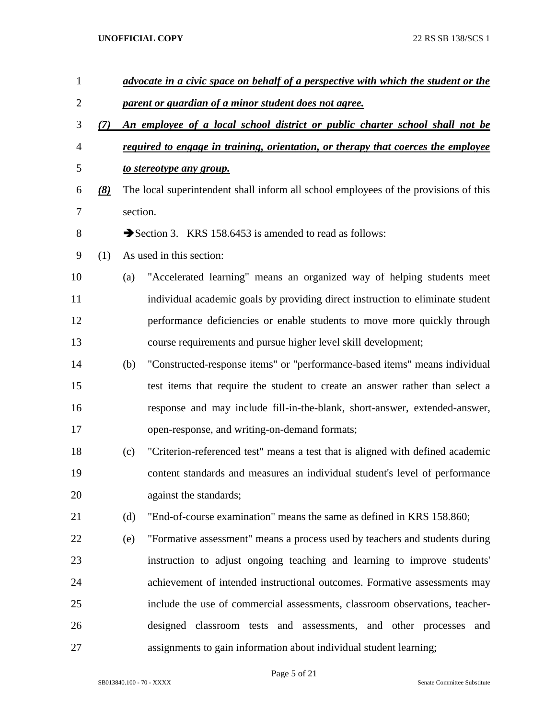| $\mathbf{1}$   |                  |          | advocate in a civic space on behalf of a perspective with which the student or the   |
|----------------|------------------|----------|--------------------------------------------------------------------------------------|
| $\overline{2}$ |                  |          | parent or guardian of a minor student does not agree.                                |
| 3              | (7)              |          | An employee of a local school district or public charter school shall not be         |
| $\overline{4}$ |                  |          | required to engage in training, orientation, or therapy that coerces the employee    |
| 5              |                  |          | to stereotype any group.                                                             |
| 6              | $\left(8\right)$ |          | The local superintendent shall inform all school employees of the provisions of this |
| $\overline{7}$ |                  | section. |                                                                                      |
| $8\,$          |                  |          | Section 3. KRS 158.6453 is amended to read as follows:                               |
| 9              | (1)              |          | As used in this section:                                                             |
| 10             |                  | (a)      | "Accelerated learning" means an organized way of helping students meet               |
| 11             |                  |          | individual academic goals by providing direct instruction to eliminate student       |
| 12             |                  |          | performance deficiencies or enable students to move more quickly through             |
| 13             |                  |          | course requirements and pursue higher level skill development;                       |
| 14             |                  | (b)      | "Constructed-response items" or "performance-based items" means individual           |
| 15             |                  |          | test items that require the student to create an answer rather than select a         |
| 16             |                  |          | response and may include fill-in-the-blank, short-answer, extended-answer,           |
| 17             |                  |          | open-response, and writing-on-demand formats;                                        |
| 18             |                  | (c)      | "Criterion-referenced test" means a test that is aligned with defined academic       |
| 19             |                  |          | content standards and measures an individual student's level of performance          |
| 20             |                  |          | against the standards;                                                               |
| 21             |                  | (d)      | "End-of-course examination" means the same as defined in KRS 158.860;                |
| 22             |                  | (e)      | "Formative assessment" means a process used by teachers and students during          |
| 23             |                  |          | instruction to adjust ongoing teaching and learning to improve students'             |
| 24             |                  |          | achievement of intended instructional outcomes. Formative assessments may            |
| 25             |                  |          | include the use of commercial assessments, classroom observations, teacher-          |
| 26             |                  |          | designed classroom tests and assessments, and other processes<br>and                 |
| 27             |                  |          | assignments to gain information about individual student learning;                   |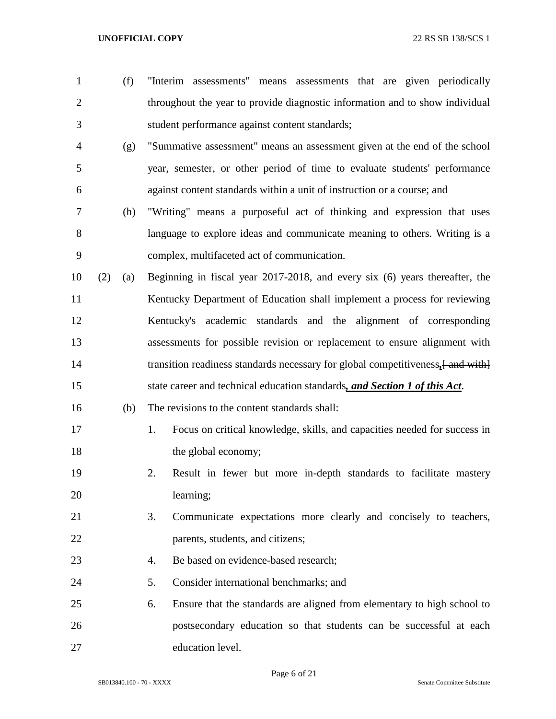- (f) "Interim assessments" means assessments that are given periodically throughout the year to provide diagnostic information and to show individual student performance against content standards;
- (g) "Summative assessment" means an assessment given at the end of the school year, semester, or other period of time to evaluate students' performance against content standards within a unit of instruction or a course; and
- (h) "Writing" means a purposeful act of thinking and expression that uses language to explore ideas and communicate meaning to others. Writing is a complex, multifaceted act of communication.
- (2) (a) Beginning in fiscal year 2017-2018, and every six (6) years thereafter, the Kentucky Department of Education shall implement a process for reviewing Kentucky's academic standards and the alignment of corresponding assessments for possible revision or replacement to ensure alignment with 14 transition readiness standards necessary for global competitiveness,  $\frac{1}{2}$  and with state career and technical education standards*, and Section 1 of this Act*.
- (b) The revisions to the content standards shall:
- 1. Focus on critical knowledge, skills, and capacities needed for success in 18 the global economy;
- 2. Result in fewer but more in-depth standards to facilitate mastery learning;
- 3. Communicate expectations more clearly and concisely to teachers, 22 parents, students, and citizens;
- 23 4. Be based on evidence-based research:
- 5. Consider international benchmarks; and
- 6. Ensure that the standards are aligned from elementary to high school to postsecondary education so that students can be successful at each education level.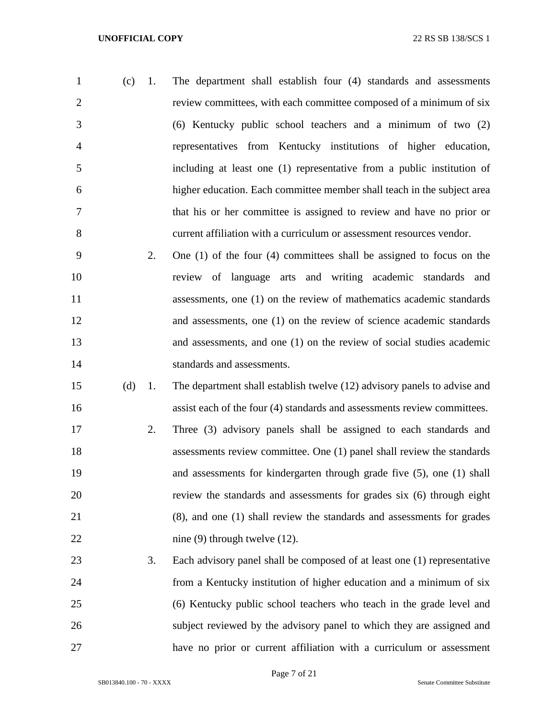| $\mathbf{1}$   | -1.<br>(c) | The department shall establish four (4) standards and assessments       |
|----------------|------------|-------------------------------------------------------------------------|
| 2              |            | review committees, with each committee composed of a minimum of six     |
| 3              |            | $(6)$ Kentucky public school teachers and a minimum of two $(2)$        |
| $\overline{4}$ |            | representatives from Kentucky institutions of higher education,         |
| $\overline{5}$ |            | including at least one (1) representative from a public institution of  |
| 6              |            | higher education. Each committee member shall teach in the subject area |
| $\overline{7}$ |            | that his or her committee is assigned to review and have no prior or    |
| 8              |            | current affiliation with a curriculum or assessment resources vendor.   |

- 2. One (1) of the four (4) committees shall be assigned to focus on the review of language arts and writing academic standards and assessments, one (1) on the review of mathematics academic standards and assessments, one (1) on the review of science academic standards and assessments, and one (1) on the review of social studies academic standards and assessments.
- (d) 1. The department shall establish twelve (12) advisory panels to advise and assist each of the four (4) standards and assessments review committees.
- 2. Three (3) advisory panels shall be assigned to each standards and assessments review committee. One (1) panel shall review the standards and assessments for kindergarten through grade five (5), one (1) shall review the standards and assessments for grades six (6) through eight (8), and one (1) shall review the standards and assessments for grades 22 nine (9) through twelve (12).
- 3. Each advisory panel shall be composed of at least one (1) representative from a Kentucky institution of higher education and a minimum of six (6) Kentucky public school teachers who teach in the grade level and subject reviewed by the advisory panel to which they are assigned and have no prior or current affiliation with a curriculum or assessment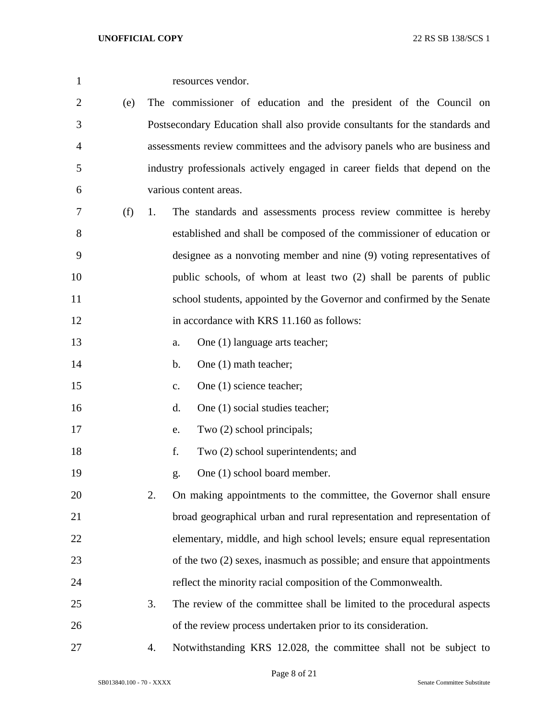| 1      |     |                | resources vendor.                                                            |
|--------|-----|----------------|------------------------------------------------------------------------------|
| 2      | (e) |                | The commissioner of education and the president of the Council on            |
| 3      |     |                | Postsecondary Education shall also provide consultants for the standards and |
| 4      |     |                | assessments review committees and the advisory panels who are business and   |
| 5      |     |                | industry professionals actively engaged in career fields that depend on the  |
| 6      |     |                | various content areas.                                                       |
| 7      | (f) | 1.             | The standards and assessments process review committee is hereby             |
| 8      |     |                | established and shall be composed of the commissioner of education or        |
| 9      |     |                | designee as a nonvoting member and nine (9) voting representatives of        |
| 10     |     |                | public schools, of whom at least two (2) shall be parents of public          |
| 11     |     |                | school students, appointed by the Governor and confirmed by the Senate       |
| 12     |     |                | in accordance with KRS 11.160 as follows:                                    |
| 13     |     | a.             | One (1) language arts teacher;                                               |
| 14     |     | b.             | One (1) math teacher;                                                        |
| 15     |     | $\mathbf{c}$ . | One (1) science teacher;                                                     |
| 16     |     | d.             | One (1) social studies teacher;                                              |
| 17     |     | e.             | Two (2) school principals;                                                   |
| 18     |     | f.             | Two (2) school superintendents; and                                          |
| 19     |     | g.             | One (1) school board member.                                                 |
| 20     |     | 2.             | On making appointments to the committee, the Governor shall ensure           |
| 21     |     |                | broad geographical urban and rural representation and representation of      |
| 22     |     |                | elementary, middle, and high school levels; ensure equal representation      |
| 23     |     |                | of the two (2) sexes, inasmuch as possible; and ensure that appointments     |
| 24     |     |                | reflect the minority racial composition of the Commonwealth.                 |
| 25     |     | 3.             | The review of the committee shall be limited to the procedural aspects       |
| 26     |     |                | of the review process undertaken prior to its consideration.                 |
| $27\,$ |     | 4.             | Notwithstanding KRS 12.028, the committee shall not be subject to            |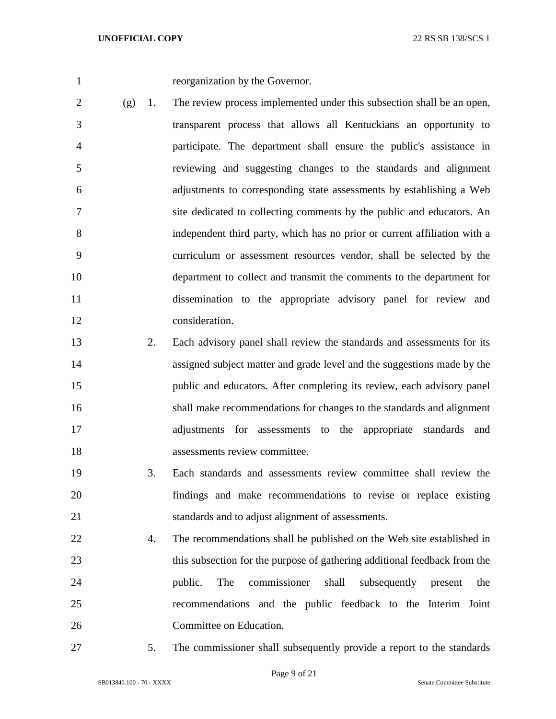reorganization by the Governor.

- $2 \quad (g)$  1. The review process implemented under this subsection shall be an open, transparent process that allows all Kentuckians an opportunity to participate. The department shall ensure the public's assistance in reviewing and suggesting changes to the standards and alignment adjustments to corresponding state assessments by establishing a Web site dedicated to collecting comments by the public and educators. An independent third party, which has no prior or current affiliation with a curriculum or assessment resources vendor, shall be selected by the department to collect and transmit the comments to the department for dissemination to the appropriate advisory panel for review and consideration.
- 2. Each advisory panel shall review the standards and assessments for its assigned subject matter and grade level and the suggestions made by the public and educators. After completing its review, each advisory panel shall make recommendations for changes to the standards and alignment adjustments for assessments to the appropriate standards and assessments review committee.
- 3. Each standards and assessments review committee shall review the findings and make recommendations to revise or replace existing standards and to adjust alignment of assessments.
- 4. The recommendations shall be published on the Web site established in this subsection for the purpose of gathering additional feedback from the public. The commissioner shall subsequently present the recommendations and the public feedback to the Interim Joint Committee on Education.
- 

5. The commissioner shall subsequently provide a report to the standards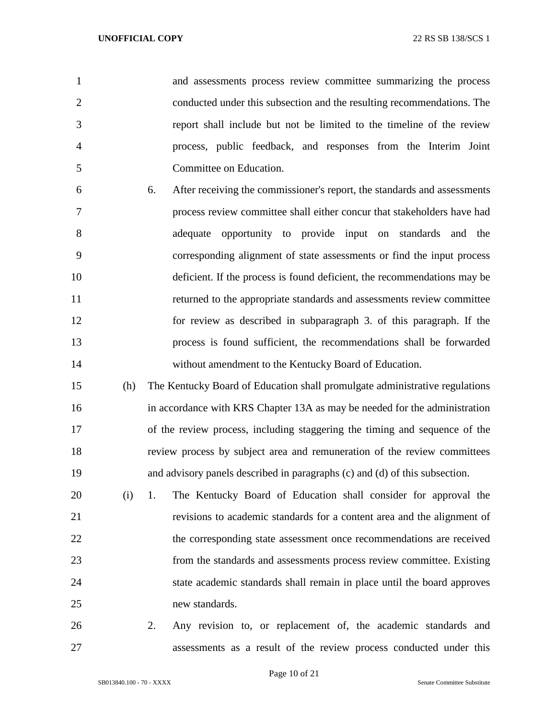| $\mathbf{1}$   | and assessments process review committee summarizing the process       |
|----------------|------------------------------------------------------------------------|
| $\overline{2}$ | conducted under this subsection and the resulting recommendations. The |
| 3              | report shall include but not be limited to the timeline of the review  |
| 4              | process, public feedback, and responses from the Interim Joint         |
| 5              | Committee on Education.                                                |

- 6. After receiving the commissioner's report, the standards and assessments process review committee shall either concur that stakeholders have had adequate opportunity to provide input on standards and the corresponding alignment of state assessments or find the input process deficient. If the process is found deficient, the recommendations may be returned to the appropriate standards and assessments review committee for review as described in subparagraph 3. of this paragraph. If the process is found sufficient, the recommendations shall be forwarded without amendment to the Kentucky Board of Education.
- (h) The Kentucky Board of Education shall promulgate administrative regulations in accordance with KRS Chapter 13A as may be needed for the administration of the review process, including staggering the timing and sequence of the review process by subject area and remuneration of the review committees and advisory panels described in paragraphs (c) and (d) of this subsection.
- (i) 1. The Kentucky Board of Education shall consider for approval the revisions to academic standards for a content area and the alignment of 22 the corresponding state assessment once recommendations are received from the standards and assessments process review committee. Existing state academic standards shall remain in place until the board approves new standards.
- 2. Any revision to, or replacement of, the academic standards and assessments as a result of the review process conducted under this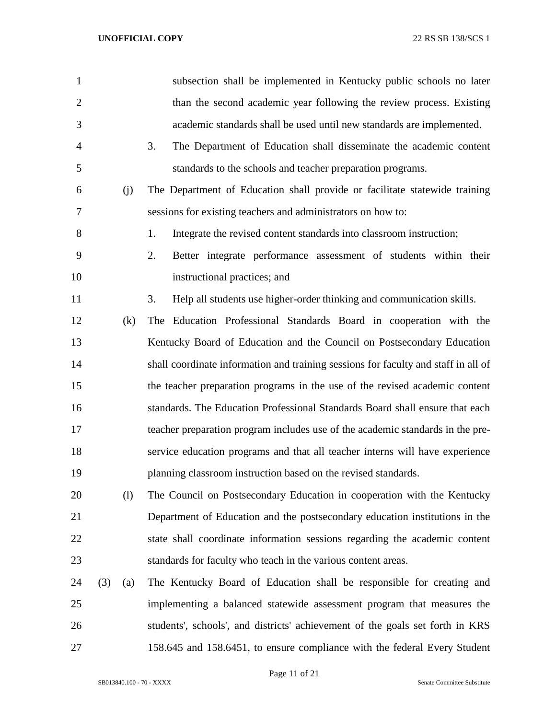| 1              |     |     | subsection shall be implemented in Kentucky public schools no later                |
|----------------|-----|-----|------------------------------------------------------------------------------------|
| $\overline{2}$ |     |     | than the second academic year following the review process. Existing               |
| 3              |     |     | academic standards shall be used until new standards are implemented.              |
| 4              |     |     | The Department of Education shall disseminate the academic content<br>3.           |
| 5              |     |     | standards to the schools and teacher preparation programs.                         |
| 6              |     | (j) | The Department of Education shall provide or facilitate statewide training         |
| 7              |     |     | sessions for existing teachers and administrators on how to:                       |
| 8              |     |     | 1.<br>Integrate the revised content standards into classroom instruction;          |
| 9              |     |     | Better integrate performance assessment of students within their<br>2.             |
| 10             |     |     | instructional practices; and                                                       |
| 11             |     |     | 3.<br>Help all students use higher-order thinking and communication skills.        |
| 12             |     | (k) | The Education Professional Standards Board in cooperation with the                 |
| 13             |     |     | Kentucky Board of Education and the Council on Postsecondary Education             |
| 14             |     |     | shall coordinate information and training sessions for faculty and staff in all of |
| 15             |     |     | the teacher preparation programs in the use of the revised academic content        |
| 16             |     |     | standards. The Education Professional Standards Board shall ensure that each       |
| 17             |     |     | teacher preparation program includes use of the academic standards in the pre-     |
| 18             |     |     | service education programs and that all teacher interns will have experience       |
| 19             |     |     | planning classroom instruction based on the revised standards.                     |
| 20             |     | (1) | The Council on Postsecondary Education in cooperation with the Kentucky            |
| 21             |     |     | Department of Education and the postsecondary education institutions in the        |
| 22             |     |     | state shall coordinate information sessions regarding the academic content         |
| 23             |     |     | standards for faculty who teach in the various content areas.                      |
| 24             | (3) | (a) | The Kentucky Board of Education shall be responsible for creating and              |
| 25             |     |     | implementing a balanced statewide assessment program that measures the             |
| 26             |     |     | students', schools', and districts' achievement of the goals set forth in KRS      |
| 27             |     |     | 158.645 and 158.6451, to ensure compliance with the federal Every Student          |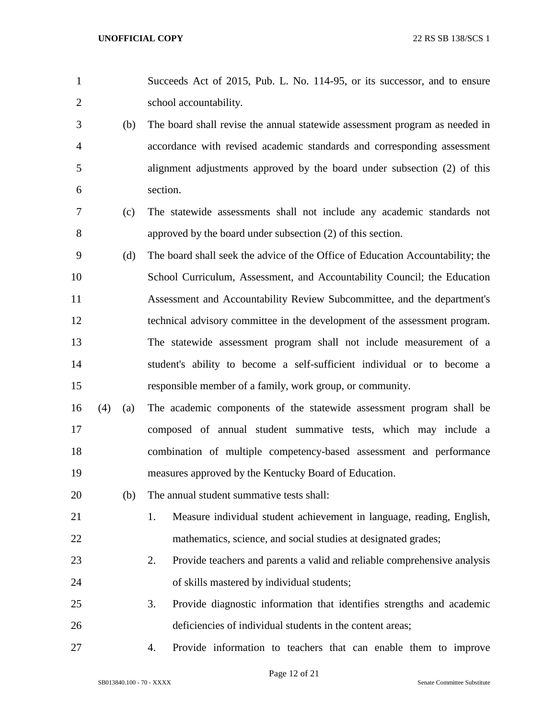|                |     | Succeeds Act of 2015, Pub. L. No. 114-95, or its successor, and to ensure   |
|----------------|-----|-----------------------------------------------------------------------------|
| 2              |     | school accountability.                                                      |
| 3 <sup>7</sup> | (h) | The board shall revise the annual statewide assessment program as needed in |
| $\overline{4}$ |     | accordance with revised academic standards and corresponding assessment     |

alignment adjustments approved by the board under subsection (2) of this

- section. (c) The statewide assessments shall not include any academic standards not
- approved by the board under subsection (2) of this section. (d) The board shall seek the advice of the Office of Education Accountability; the School Curriculum, Assessment, and Accountability Council; the Education
- Assessment and Accountability Review Subcommittee, and the department's technical advisory committee in the development of the assessment program. The statewide assessment program shall not include measurement of a student's ability to become a self-sufficient individual or to become a responsible member of a family, work group, or community.
- (4) (a) The academic components of the statewide assessment program shall be composed of annual student summative tests, which may include a combination of multiple competency-based assessment and performance measures approved by the Kentucky Board of Education.
- (b) The annual student summative tests shall:
- 1. Measure individual student achievement in language, reading, English, mathematics, science, and social studies at designated grades;
- 2. Provide teachers and parents a valid and reliable comprehensive analysis of skills mastered by individual students;
- 3. Provide diagnostic information that identifies strengths and academic deficiencies of individual students in the content areas;
- 
- 4. Provide information to teachers that can enable them to improve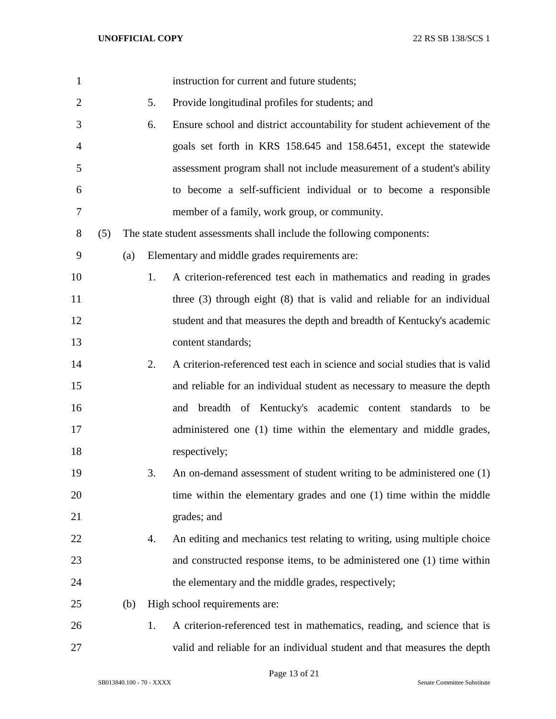| $\mathbf{1}$   |     |     |    | instruction for current and future students;                                 |
|----------------|-----|-----|----|------------------------------------------------------------------------------|
| $\overline{2}$ |     |     | 5. | Provide longitudinal profiles for students; and                              |
| 3              |     |     | 6. | Ensure school and district accountability for student achievement of the     |
| 4              |     |     |    | goals set forth in KRS 158.645 and 158.6451, except the statewide            |
| 5              |     |     |    | assessment program shall not include measurement of a student's ability      |
| 6              |     |     |    | to become a self-sufficient individual or to become a responsible            |
| 7              |     |     |    | member of a family, work group, or community.                                |
| 8              | (5) |     |    | The state student assessments shall include the following components:        |
| 9              |     | (a) |    | Elementary and middle grades requirements are:                               |
| 10             |     |     | 1. | A criterion-referenced test each in mathematics and reading in grades        |
| 11             |     |     |    | three $(3)$ through eight $(8)$ that is valid and reliable for an individual |
| 12             |     |     |    | student and that measures the depth and breadth of Kentucky's academic       |
| 13             |     |     |    | content standards;                                                           |
| 14             |     |     | 2. | A criterion-referenced test each in science and social studies that is valid |
| 15             |     |     |    | and reliable for an individual student as necessary to measure the depth     |
| 16             |     |     |    | breadth of Kentucky's academic content standards to be<br>and                |
| 17             |     |     |    | administered one (1) time within the elementary and middle grades,           |
| 18             |     |     |    | respectively;                                                                |
| 19             |     |     | 3. | An on-demand assessment of student writing to be administered one (1)        |
| 20             |     |     |    | time within the elementary grades and one (1) time within the middle         |
| 21             |     |     |    | grades; and                                                                  |
| 22             |     |     | 4. | An editing and mechanics test relating to writing, using multiple choice     |
| 23             |     |     |    | and constructed response items, to be administered one (1) time within       |
| 24             |     |     |    | the elementary and the middle grades, respectively;                          |
| 25             |     | (b) |    | High school requirements are:                                                |
| 26             |     |     | 1. | A criterion-referenced test in mathematics, reading, and science that is     |
| 27             |     |     |    | valid and reliable for an individual student and that measures the depth     |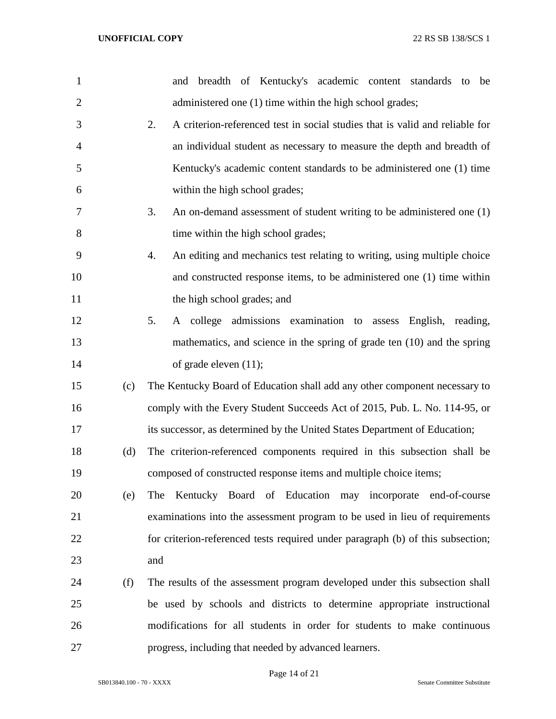| $\mathbf{1}$   |     | and breadth of Kentucky's academic content standards to<br>be                      |
|----------------|-----|------------------------------------------------------------------------------------|
| $\overline{2}$ |     | administered one (1) time within the high school grades;                           |
| 3              |     | 2.<br>A criterion-referenced test in social studies that is valid and reliable for |
| 4              |     | an individual student as necessary to measure the depth and breadth of             |
| 5              |     | Kentucky's academic content standards to be administered one (1) time              |
| 6              |     | within the high school grades;                                                     |
| 7              |     | 3.<br>An on-demand assessment of student writing to be administered one (1)        |
| 8              |     | time within the high school grades;                                                |
| 9              |     | 4.<br>An editing and mechanics test relating to writing, using multiple choice     |
| 10             |     | and constructed response items, to be administered one (1) time within             |
| 11             |     | the high school grades; and                                                        |
| 12             |     | A college admissions examination to assess English, reading,<br>5.                 |
| 13             |     | mathematics, and science in the spring of grade ten (10) and the spring            |
| 14             |     | of grade eleven $(11)$ ;                                                           |
| 15             | (c) | The Kentucky Board of Education shall add any other component necessary to         |
| 16             |     | comply with the Every Student Succeeds Act of 2015, Pub. L. No. 114-95, or         |
| 17             |     | its successor, as determined by the United States Department of Education;         |
| 18             | (d) | The criterion-referenced components required in this subsection shall be           |
| 19             |     | composed of constructed response items and multiple choice items;                  |
| 20             | (e) | Kentucky Board of Education may incorporate end-of-course<br>The                   |
| 21             |     | examinations into the assessment program to be used in lieu of requirements        |
| 22             |     | for criterion-referenced tests required under paragraph (b) of this subsection;    |
| 23             |     | and                                                                                |
| 24             | (f) | The results of the assessment program developed under this subsection shall        |
| 25             |     | be used by schools and districts to determine appropriate instructional            |
| 26             |     | modifications for all students in order for students to make continuous            |
| 27             |     | progress, including that needed by advanced learners.                              |

Page 14 of 21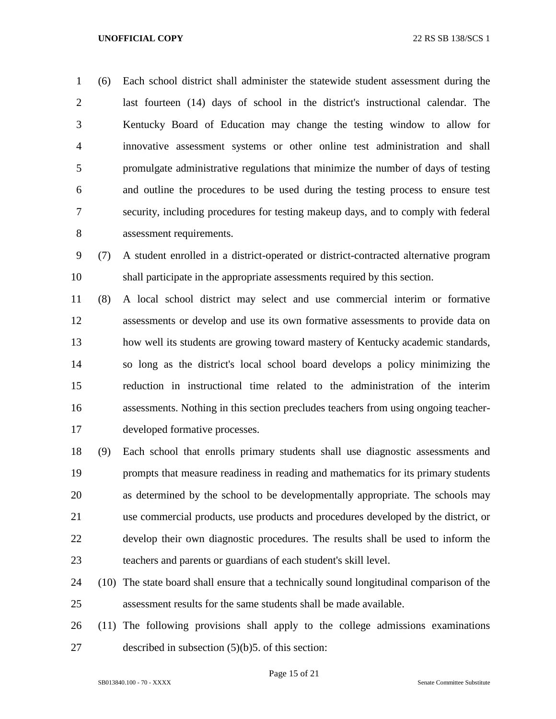(6) Each school district shall administer the statewide student assessment during the last fourteen (14) days of school in the district's instructional calendar. The Kentucky Board of Education may change the testing window to allow for innovative assessment systems or other online test administration and shall promulgate administrative regulations that minimize the number of days of testing and outline the procedures to be used during the testing process to ensure test security, including procedures for testing makeup days, and to comply with federal assessment requirements.

 (7) A student enrolled in a district-operated or district-contracted alternative program shall participate in the appropriate assessments required by this section.

 (8) A local school district may select and use commercial interim or formative assessments or develop and use its own formative assessments to provide data on how well its students are growing toward mastery of Kentucky academic standards, so long as the district's local school board develops a policy minimizing the reduction in instructional time related to the administration of the interim assessments. Nothing in this section precludes teachers from using ongoing teacher-developed formative processes.

 (9) Each school that enrolls primary students shall use diagnostic assessments and prompts that measure readiness in reading and mathematics for its primary students as determined by the school to be developmentally appropriate. The schools may use commercial products, use products and procedures developed by the district, or develop their own diagnostic procedures. The results shall be used to inform the teachers and parents or guardians of each student's skill level.

 (10) The state board shall ensure that a technically sound longitudinal comparison of the assessment results for the same students shall be made available.

 (11) The following provisions shall apply to the college admissions examinations described in subsection (5)(b)5. of this section: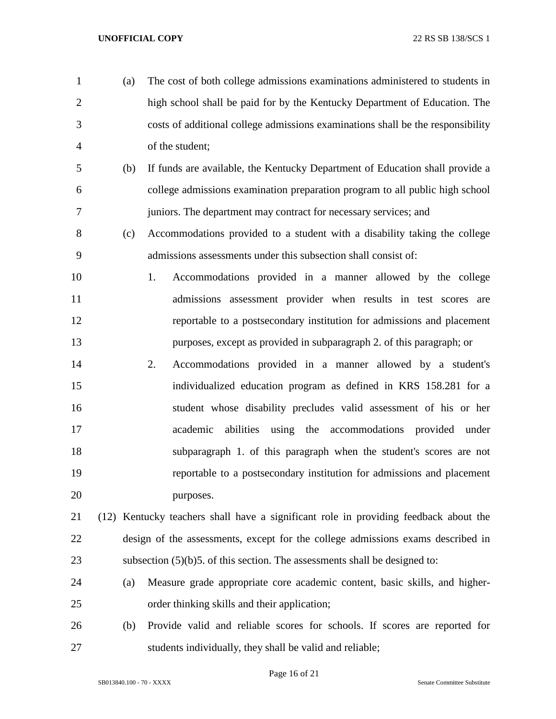- (a) The cost of both college admissions examinations administered to students in high school shall be paid for by the Kentucky Department of Education. The costs of additional college admissions examinations shall be the responsibility of the student; (b) If funds are available, the Kentucky Department of Education shall provide a college admissions examination preparation program to all public high school juniors. The department may contract for necessary services; and (c) Accommodations provided to a student with a disability taking the college admissions assessments under this subsection shall consist of: 1. Accommodations provided in a manner allowed by the college admissions assessment provider when results in test scores are reportable to a postsecondary institution for admissions and placement purposes, except as provided in subparagraph 2. of this paragraph; or 2. Accommodations provided in a manner allowed by a student's individualized education program as defined in KRS 158.281 for a student whose disability precludes valid assessment of his or her academic abilities using the accommodations provided under subparagraph 1. of this paragraph when the student's scores are not reportable to a postsecondary institution for admissions and placement 20 purposes. (12) Kentucky teachers shall have a significant role in providing feedback about the design of the assessments, except for the college admissions exams described in subsection (5)(b)5. of this section. The assessments shall be designed to: (a) Measure grade appropriate core academic content, basic skills, and higher- order thinking skills and their application; (b) Provide valid and reliable scores for schools. If scores are reported for
- students individually, they shall be valid and reliable;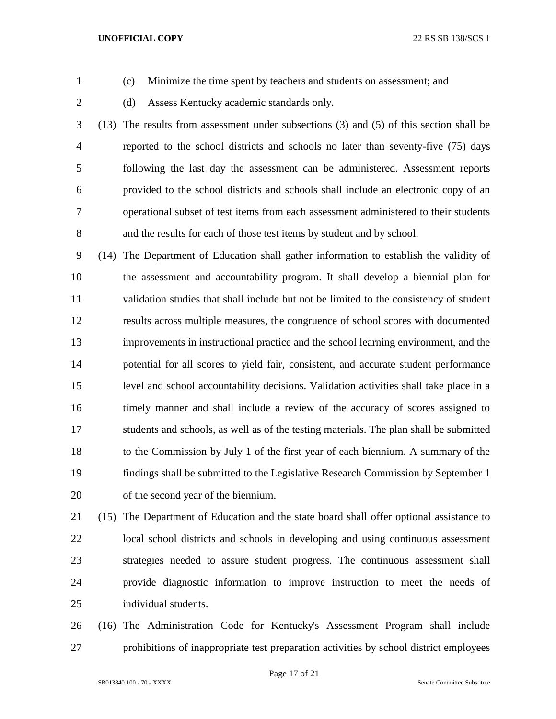- 
- (c) Minimize the time spent by teachers and students on assessment; and
- 
- (d) Assess Kentucky academic standards only.
- (13) The results from assessment under subsections (3) and (5) of this section shall be reported to the school districts and schools no later than seventy-five (75) days following the last day the assessment can be administered. Assessment reports provided to the school districts and schools shall include an electronic copy of an operational subset of test items from each assessment administered to their students and the results for each of those test items by student and by school.
- (14) The Department of Education shall gather information to establish the validity of the assessment and accountability program. It shall develop a biennial plan for validation studies that shall include but not be limited to the consistency of student results across multiple measures, the congruence of school scores with documented improvements in instructional practice and the school learning environment, and the potential for all scores to yield fair, consistent, and accurate student performance level and school accountability decisions. Validation activities shall take place in a timely manner and shall include a review of the accuracy of scores assigned to students and schools, as well as of the testing materials. The plan shall be submitted to the Commission by July 1 of the first year of each biennium. A summary of the findings shall be submitted to the Legislative Research Commission by September 1 of the second year of the biennium.
- (15) The Department of Education and the state board shall offer optional assistance to local school districts and schools in developing and using continuous assessment strategies needed to assure student progress. The continuous assessment shall provide diagnostic information to improve instruction to meet the needs of individual students.
- (16) The Administration Code for Kentucky's Assessment Program shall include prohibitions of inappropriate test preparation activities by school district employees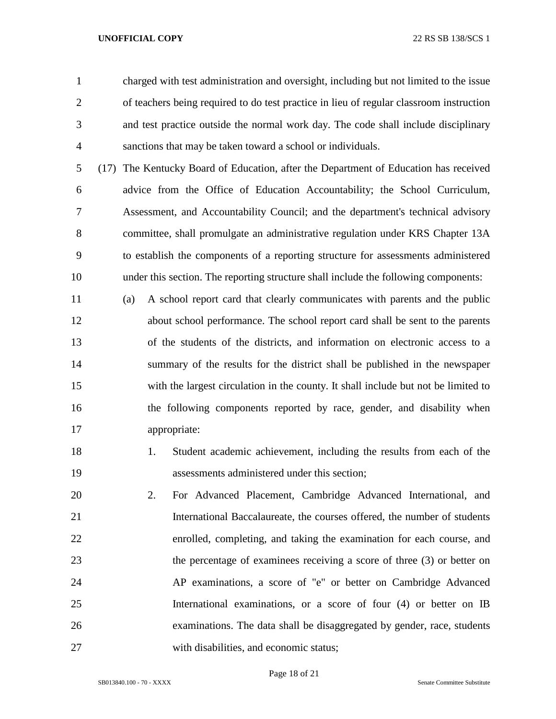charged with test administration and oversight, including but not limited to the issue of teachers being required to do test practice in lieu of regular classroom instruction and test practice outside the normal work day. The code shall include disciplinary sanctions that may be taken toward a school or individuals.

 (17) The Kentucky Board of Education, after the Department of Education has received advice from the Office of Education Accountability; the School Curriculum, Assessment, and Accountability Council; and the department's technical advisory committee, shall promulgate an administrative regulation under KRS Chapter 13A to establish the components of a reporting structure for assessments administered under this section. The reporting structure shall include the following components:

 (a) A school report card that clearly communicates with parents and the public about school performance. The school report card shall be sent to the parents of the students of the districts, and information on electronic access to a summary of the results for the district shall be published in the newspaper with the largest circulation in the county. It shall include but not be limited to the following components reported by race, gender, and disability when appropriate:

- 1. Student academic achievement, including the results from each of the assessments administered under this section;
- 2. For Advanced Placement, Cambridge Advanced International, and International Baccalaureate, the courses offered, the number of students enrolled, completing, and taking the examination for each course, and the percentage of examinees receiving a score of three (3) or better on AP examinations, a score of "e" or better on Cambridge Advanced International examinations, or a score of four (4) or better on IB examinations. The data shall be disaggregated by gender, race, students with disabilities, and economic status;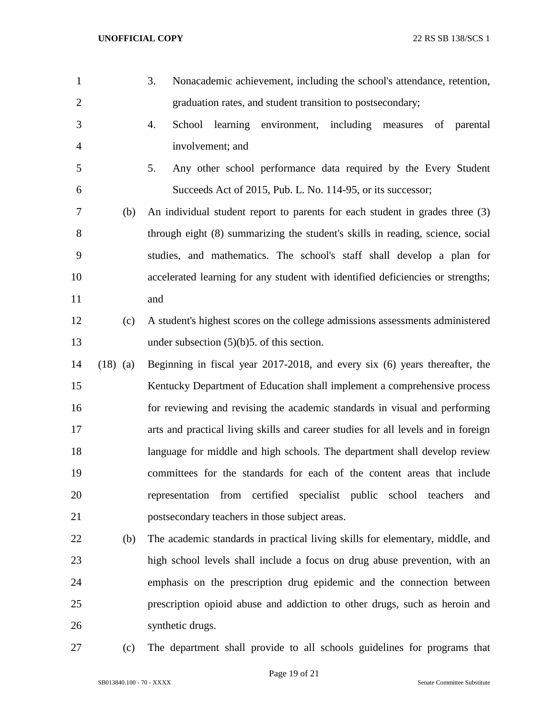| $\mathbf{1}$   |            | 3.<br>Nonacademic achievement, including the school's attendance, retention,      |
|----------------|------------|-----------------------------------------------------------------------------------|
| $\overline{2}$ |            | graduation rates, and student transition to postsecondary;                        |
| 3              |            | 4.<br>School learning environment, including measures<br>of parental              |
| $\overline{4}$ |            | involvement; and                                                                  |
| 5              |            | Any other school performance data required by the Every Student<br>5.             |
| 6              |            | Succeeds Act of 2015, Pub. L. No. 114-95, or its successor;                       |
| 7              | (b)        | An individual student report to parents for each student in grades three (3)      |
| 8              |            | through eight (8) summarizing the student's skills in reading, science, social    |
| 9              |            | studies, and mathematics. The school's staff shall develop a plan for             |
| 10             |            | accelerated learning for any student with identified deficiencies or strengths;   |
| 11             |            | and                                                                               |
| 12             | (c)        | A student's highest scores on the college admissions assessments administered     |
| 13             |            | under subsection $(5)(b)5$ . of this section.                                     |
| 14             | $(18)$ (a) | Beginning in fiscal year 2017-2018, and every six (6) years thereafter, the       |
| 15             |            | Kentucky Department of Education shall implement a comprehensive process          |
| 16             |            | for reviewing and revising the academic standards in visual and performing        |
| 17             |            | arts and practical living skills and career studies for all levels and in foreign |
| 18             |            | language for middle and high schools. The department shall develop review         |
| 19             |            | committees for the standards for each of the content areas that include           |
| 20             |            | representation from certified specialist public school teachers<br>and            |
| 21             |            | postsecondary teachers in those subject areas.                                    |
| 22             | (b)        | The academic standards in practical living skills for elementary, middle, and     |
| 23             |            | high school levels shall include a focus on drug abuse prevention, with an        |
| 24             |            | emphasis on the prescription drug epidemic and the connection between             |
| 25             |            | prescription opioid abuse and addiction to other drugs, such as heroin and        |
| 26             |            | synthetic drugs.                                                                  |
| 27             | (c)        | The department shall provide to all schools guidelines for programs that          |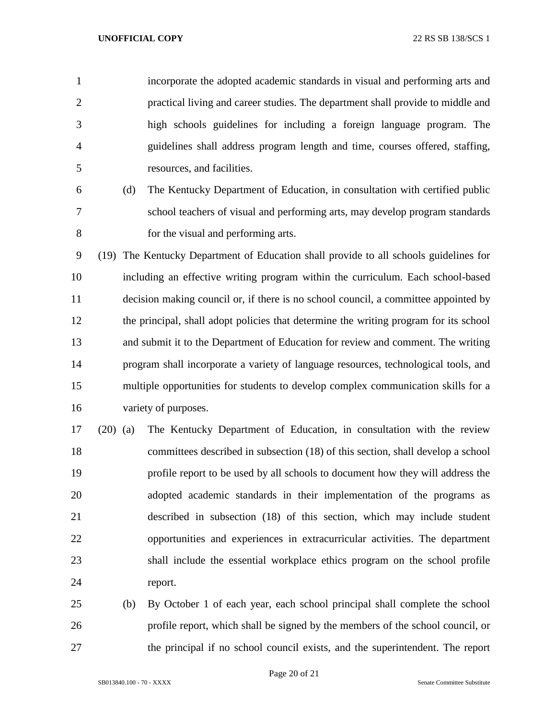incorporate the adopted academic standards in visual and performing arts and practical living and career studies. The department shall provide to middle and high schools guidelines for including a foreign language program. The guidelines shall address program length and time, courses offered, staffing, resources, and facilities.

 (d) The Kentucky Department of Education, in consultation with certified public school teachers of visual and performing arts, may develop program standards for the visual and performing arts.

 (19) The Kentucky Department of Education shall provide to all schools guidelines for including an effective writing program within the curriculum. Each school-based decision making council or, if there is no school council, a committee appointed by the principal, shall adopt policies that determine the writing program for its school and submit it to the Department of Education for review and comment. The writing program shall incorporate a variety of language resources, technological tools, and multiple opportunities for students to develop complex communication skills for a variety of purposes.

 (20) (a) The Kentucky Department of Education, in consultation with the review committees described in subsection (18) of this section, shall develop a school profile report to be used by all schools to document how they will address the adopted academic standards in their implementation of the programs as described in subsection (18) of this section, which may include student opportunities and experiences in extracurricular activities. The department shall include the essential workplace ethics program on the school profile report.

 (b) By October 1 of each year, each school principal shall complete the school profile report, which shall be signed by the members of the school council, or the principal if no school council exists, and the superintendent. The report